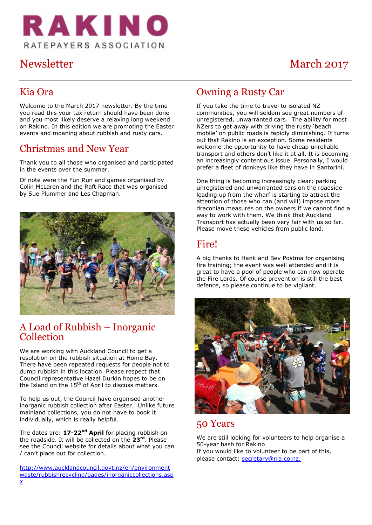

# Newsletter March 2017

#### Kia Ora

Welcome to the March 2017 newsletter. By the time you read this your tax return should have been done and you most likely deserve a relaxing long weekend on Rakino. In this edition we are promoting the Easter events and moaning about rubbish and rusty cars.

#### Christmas and New Year

Thank you to all those who organised and participated in the events over the summer.

Of note were the Fun Run and games organised by Colin McLaren and the Raft Race that was organised by Sue Plummer and Les Chapman.



#### A Load of Rubbish – Inorganic Collection

We are working with Auckland Council to get a resolution on the rubbish situation at Home Bay. There have been repeated requests for people not to dump rubbish in this location. Please respect that. Council representative Hazel Durkin hopes to be on the Island on the  $15<sup>th</sup>$  of April to discuss matters.

To help us out, the Council have organised another inorganic rubbish collection after Easter. Unlike future mainland collections, you do not have to book it individually, which is really helpful.

The dates are: **17-22nd April** for placing rubbish on the roadside. It will be collected on the **23rd**. Please see the Council website for details about what you can / can't place out for collection.

[http://www.aucklandcouncil.govt.nz/en/environment](http://www.aucklandcouncil.govt.nz/en/environmentwaste/rubbishrecycling/pages/inorganiccollections.aspx) [waste/rubbishrecycling/pages/inorganiccollections.asp](http://www.aucklandcouncil.govt.nz/en/environmentwaste/rubbishrecycling/pages/inorganiccollections.aspx) [x](http://www.aucklandcouncil.govt.nz/en/environmentwaste/rubbishrecycling/pages/inorganiccollections.aspx)

#### Owning a Rusty Car

If you take the time to travel to isolated NZ communities, you will seldom see great numbers of unregistered, unwarranted cars. The ability for most NZers to get away with driving the rusty 'beach mobile' on public roads is rapidly diminishing. It turns out that Rakino is an exception. Some residents welcome the opportunity to have cheap unreliable transport and others don't like it at all. It is becoming an increasingly contentious issue. Personally, I would prefer a fleet of donkeys like they have in Santorini.

One thing is becoming increasingly clear; parking unregistered and unwarranted cars on the roadside leading up from the wharf is starting to attract the attention of those who can (and will) impose more draconian measures on the owners if we cannot find a way to work with them. We think that Auckland Transport has actually been very fair with us so far. Please move these vehicles from public land.

#### Fire!

A big thanks to Hank and Bev Postma for organising fire training; the event was well attended and it is great to have a pool of people who can now operate the Fire Lords. Of course prevention is still the best defence, so please continue to be vigilant.



#### 50 Years

We are still looking for volunteers to help organise a 50-year bash for Rakino If you would like to volunteer to be part of this, please contact: [secretary@rra.co.nz](mailto:secretary@rra.co.nz).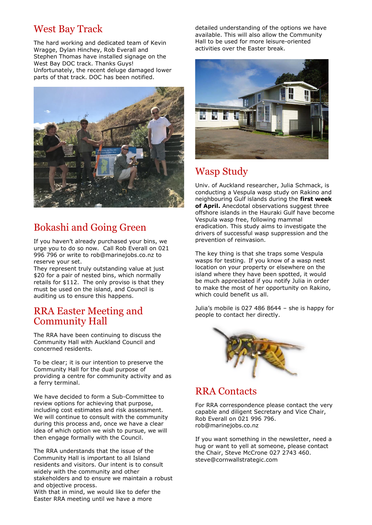#### West Bay Track

The hard working and dedicated team of Kevin Wragge, Dylan Hinchey, Rob Everall and Stephen Thomas have installed signage on the West Bay DOC track. Thanks Guys! Unfortunately, the recent deluge damaged lower parts of that track. DOC has been notified.



## Bokashi and Going Green

If you haven't already purchased your bins, we urge you to do so now. Call Rob Everall on 021 996 796 or write to [rob@marinejobs.co.nz](mailto:rob@marinejobs.co.nz) to reserve your set.

They represent truly outstanding value at just \$20 for a pair of nested bins, which normally retails for \$112. The only proviso is that they must be used on the island, and Council is auditing us to ensure this happens.

#### RRA Easter Meeting and Community Hall

The RRA have been continuing to discuss the Community Hall with Auckland Council and concerned residents.

To be clear; it is our intention to preserve the Community Hall for the dual purpose of providing a centre for community activity and as a ferry terminal.

We have decided to form a Sub-Committee to review options for achieving that purpose, including cost estimates and risk assessment. We will continue to consult with the community during this process and, once we have a clear idea of which option we wish to pursue, we will then engage formally with the Council.

The RRA understands that the issue of the Community Hall is important to all Island residents and visitors. Our intent is to consult widely with the community and other stakeholders and to ensure we maintain a robust and objective process.

With that in mind, we would like to defer the Easter RRA meeting until we have a more

detailed understanding of the options we have available. This will also allow the Community Hall to be used for more leisure-oriented activities over the Easter break.



#### Wasp Study

Univ. of Auckland researcher, Julia Schmack, is conducting a Vespula wasp study on Rakino and neighbouring Gulf islands during the **first week of April.** Anecdotal observations suggest three offshore islands in the Hauraki Gulf have become Vespula wasp free, following mammal eradication. This study aims to investigate the drivers of successful wasp suppression and the prevention of reinvasion.

The key thing is that she traps some Vespula wasps for testing.  If you know of a wasp nest location on your property or elsewhere on the island where they have been spotted, it would be much appreciated if you notify Julia in order to make the most of her opportunity on Rakino, which could benefit us all. 

Julia's mobile is 027 486 8644 – she is happy for people to contact her directly.



#### RRA Contacts

For RRA correspondence please contact the very capable and diligent Secretary and Vice Chair, Rob Everall on 021 996 796. [rob@marinejobs.co.nz](mailto:Rob@marinejobs.co.nz)

If you want something in the newsletter, need a hug or want to yell at someone, please contact the Chair, Steve McCrone 027 2743 460. [steve@cornwallstrategic.com](mailto:steve@cornwallstrategic.com)